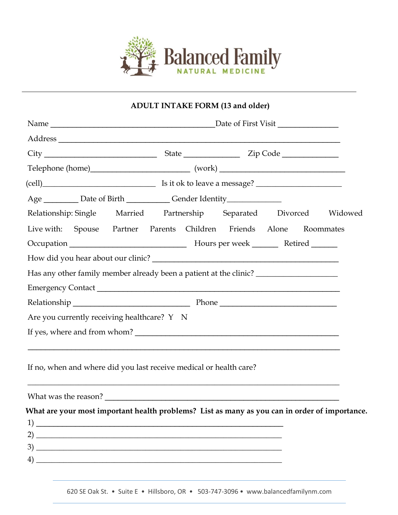

## **ADULT INTAKE FORM (13 and older)**

| Age __________ Date of Birth ______________ Gender Identity_______________                                                                              |  |  |  |  |  |  |  |  |  |
|---------------------------------------------------------------------------------------------------------------------------------------------------------|--|--|--|--|--|--|--|--|--|
| Relationship: Single Married Partnership Separated Divorced Widowed                                                                                     |  |  |  |  |  |  |  |  |  |
| Live with: Spouse Partner Parents Children Friends Alone Roommates                                                                                      |  |  |  |  |  |  |  |  |  |
|                                                                                                                                                         |  |  |  |  |  |  |  |  |  |
|                                                                                                                                                         |  |  |  |  |  |  |  |  |  |
| Has any other family member already been a patient at the clinic? _______________                                                                       |  |  |  |  |  |  |  |  |  |
|                                                                                                                                                         |  |  |  |  |  |  |  |  |  |
|                                                                                                                                                         |  |  |  |  |  |  |  |  |  |
| Are you currently receiving healthcare? Y N                                                                                                             |  |  |  |  |  |  |  |  |  |
|                                                                                                                                                         |  |  |  |  |  |  |  |  |  |
|                                                                                                                                                         |  |  |  |  |  |  |  |  |  |
| If no, when and where did you last receive medical or health care?<br>,我们也不能在这里的时候,我们也不能在这里的时候,我们也不能不能不能不能不能不能不能不能不能不能不能不能不能不能不能。""我们的是,我们也不能不能不能不能不能不能 |  |  |  |  |  |  |  |  |  |
|                                                                                                                                                         |  |  |  |  |  |  |  |  |  |
| What are your most important health problems? List as many as you can in order of importance.                                                           |  |  |  |  |  |  |  |  |  |
|                                                                                                                                                         |  |  |  |  |  |  |  |  |  |
|                                                                                                                                                         |  |  |  |  |  |  |  |  |  |
|                                                                                                                                                         |  |  |  |  |  |  |  |  |  |
|                                                                                                                                                         |  |  |  |  |  |  |  |  |  |

620 SE Oak St. • Suite E • Hillsboro, OR • 503-747-3096 • www.balancedfamilynm.com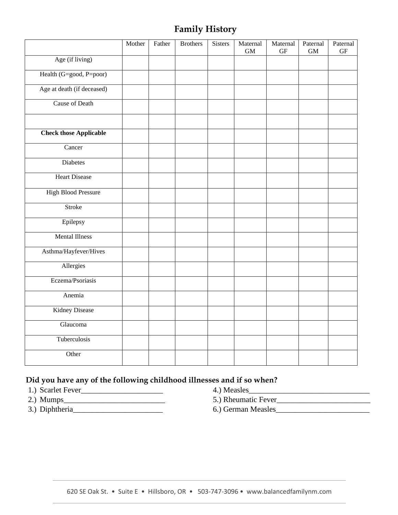# **Family History**

|                               | Mother | Father | <b>Brothers</b> | <b>Sisters</b> | Maternal<br><b>GM</b> | Maternal<br><b>GF</b> | Paternal<br><b>GM</b> | Paternal<br><b>GF</b> |
|-------------------------------|--------|--------|-----------------|----------------|-----------------------|-----------------------|-----------------------|-----------------------|
| Age (if living)               |        |        |                 |                |                       |                       |                       |                       |
| Health (G=good, P=poor)       |        |        |                 |                |                       |                       |                       |                       |
| Age at death (if deceased)    |        |        |                 |                |                       |                       |                       |                       |
| <b>Cause of Death</b>         |        |        |                 |                |                       |                       |                       |                       |
|                               |        |        |                 |                |                       |                       |                       |                       |
| <b>Check those Applicable</b> |        |        |                 |                |                       |                       |                       |                       |
| Cancer                        |        |        |                 |                |                       |                       |                       |                       |
| Diabetes                      |        |        |                 |                |                       |                       |                       |                       |
| <b>Heart Disease</b>          |        |        |                 |                |                       |                       |                       |                       |
| <b>High Blood Pressure</b>    |        |        |                 |                |                       |                       |                       |                       |
| Stroke                        |        |        |                 |                |                       |                       |                       |                       |
| Epilepsy                      |        |        |                 |                |                       |                       |                       |                       |
| <b>Mental Illness</b>         |        |        |                 |                |                       |                       |                       |                       |
| Asthma/Hayfever/Hives         |        |        |                 |                |                       |                       |                       |                       |
| Allergies                     |        |        |                 |                |                       |                       |                       |                       |
| Eczema/Psoriasis              |        |        |                 |                |                       |                       |                       |                       |
| Anemia                        |        |        |                 |                |                       |                       |                       |                       |
| Kidney Disease                |        |        |                 |                |                       |                       |                       |                       |
| Glaucoma                      |        |        |                 |                |                       |                       |                       |                       |
| Tuberculosis                  |        |        |                 |                |                       |                       |                       |                       |
| Other                         |        |        |                 |                |                       |                       |                       |                       |

#### **Did you have any of the following childhood illnesses and if so when?**

- 1.) Scarlet Fever\_\_\_\_\_\_\_\_\_\_\_\_\_\_\_\_\_\_\_\_\_ 4.) Measles\_\_\_\_\_\_\_\_\_\_\_\_\_\_\_\_\_\_\_\_\_\_\_\_\_\_\_\_\_\_\_
- 
- 3.) Diphtheria\_\_\_\_\_\_\_\_\_\_\_\_\_\_\_\_\_\_\_\_\_\_\_ 6.) German Measles\_\_\_\_\_\_\_\_\_\_\_\_\_\_\_\_\_\_\_\_\_\_\_\_
- 
- 2.) Mumps\_\_\_\_\_\_\_\_\_\_\_\_\_\_\_\_\_\_\_\_\_\_\_\_\_\_ 5.) Rheumatic Fever\_\_\_\_\_\_\_\_\_\_\_\_\_\_\_\_\_\_\_\_\_\_\_\_
	-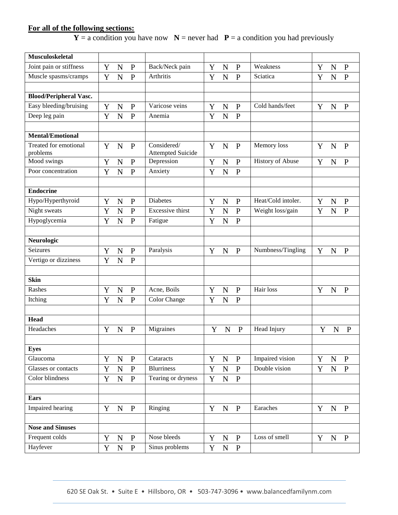### **For all of the following sections:**

 $Y = a$  condition you have now  $N =$  never had  $P = a$  condition you had previously

| <b>Musculoskeletal</b>        |             |                |              |                                |             |                |                |                                  |             |             |                |
|-------------------------------|-------------|----------------|--------------|--------------------------------|-------------|----------------|----------------|----------------------------------|-------------|-------------|----------------|
| Joint pain or stiffness       | Y           | $\mathbf N$    | $\mathbf{P}$ | Back/Neck pain                 | Y           | $\mathbf N$    | $\mathbf{P}$   | Weakness                         | Y           | $\mathbf N$ | $\mathbf{P}$   |
| Muscle spasms/cramps          | Y           | $\overline{N}$ | $\mathbf{P}$ | Arthritis                      | Y           | $\overline{N}$ | $\overline{P}$ | Sciatica                         | Y           | N           | $\overline{P}$ |
|                               |             |                |              |                                |             |                |                |                                  |             |             |                |
| <b>Blood/Peripheral Vasc.</b> |             |                |              |                                |             |                |                |                                  |             |             |                |
| Easy bleeding/bruising        | Y           | $\mathbf N$    | $\mathbf{P}$ | Varicose veins                 | Y           | ${\bf N}$      | $\mathbf{P}$   | Cold hands/feet                  | Y           | N           | $\mathbf{P}$   |
| Deep leg pain                 | Y           | $\mathbf N$    | $\mathbf{P}$ | Anemia                         | Y           | $\mathbf N$    | $\overline{P}$ |                                  |             |             |                |
|                               |             |                |              |                                |             |                |                |                                  |             |             |                |
| <b>Mental/Emotional</b>       |             |                |              |                                |             |                |                |                                  |             |             |                |
| Treated for emotional         | Y           | $\mathbf N$    | $\mathbf{P}$ | Considered/                    | Y           | $\mathbf N$    | $\mathbf{P}$   | Memory loss                      | Y           | $\mathbf N$ | $\mathbf{P}$   |
| problems                      |             |                |              | <b>Attempted Suicide</b>       |             |                |                |                                  |             |             |                |
| Mood swings                   | Y           | $\mathbf N$    | ${\bf P}$    | Depression                     | Y           | $\mathbf N$    | $\mathbf{P}$   | <b>History of Abuse</b>          | Y           | N           | $\mathbf{P}$   |
| Poor concentration            | Y           | $\overline{N}$ | ${\bf P}$    | Anxiety                        | Y           | $\overline{N}$ | $\mathbf{P}$   |                                  |             |             |                |
|                               |             |                |              |                                |             |                |                |                                  |             |             |                |
| <b>Endocrine</b>              |             |                |              |                                |             |                |                |                                  |             |             |                |
| Hypo/Hyperthyroid             | Y           | $\mathbf N$    | ${\bf P}$    | <b>Diabetes</b>                | Y           | N              | ${\bf P}$      | Heat/Cold intoler.               | $\mathbf Y$ | N           | ${\bf P}$      |
| Night sweats                  | Y           | N              | ${\bf P}$    | <b>Excessive thirst</b>        | Y           | N              | $\mathbf{P}$   | Weight loss/gain                 | Y           | N           | $\mathbf{P}$   |
| Hypoglycemia                  | Y           | N              | $\mathbf{P}$ | Fatigue                        | Y           | N              | $\mathbf{P}$   |                                  |             |             |                |
|                               |             |                |              |                                |             |                |                |                                  |             |             |                |
| Neurologic                    |             |                |              |                                |             |                |                |                                  |             |             |                |
| Seizures                      | Y           | $\mathbf N$    | $\mathbf{P}$ | Paralysis                      | Y           | $\mathbf N$    | $\mathbf{P}$   | Numbness/Tingling                | Y           | $\mathbf N$ | $\mathbf{P}$   |
| Vertigo or dizziness          | Y           | N              | $\mathbf{P}$ |                                |             |                |                |                                  |             |             |                |
|                               |             |                |              |                                |             |                |                |                                  |             |             |                |
| <b>Skin</b>                   |             |                |              |                                |             |                |                |                                  |             |             |                |
| Rashes                        | Y           | $\mathbf N$    | ${\bf P}$    | Acne, Boils                    | Y           | $\mathbf N$    | $\mathbf{P}$   | Hair loss                        | Y           | $\mathbf N$ | $\mathbf{P}$   |
| Itching                       | Y           | N              | $\mathbf{P}$ | <b>Color Change</b>            | Y           | $\mathbf N$    | $\mathbf{P}$   |                                  |             |             |                |
|                               |             |                |              |                                |             |                |                |                                  |             |             |                |
| <b>Head</b>                   |             |                |              |                                |             |                |                |                                  |             |             |                |
| Headaches                     | Y           | $\mathbf N$    | ${\bf P}$    | Migraines                      | Y           | $\mathbf N$    | $\mathbf{P}$   | Head Injury                      | Y           | $\mathbf N$ | $\mathbf{P}$   |
|                               |             |                |              |                                |             |                |                |                                  |             |             |                |
| <b>Eyes</b>                   |             |                |              |                                |             |                |                |                                  |             |             |                |
| Glaucoma                      | Y           | ${\bf N}$      | $\mathbf{P}$ | Cataracts<br><b>Blurriness</b> | Y           | ${\bf N}$      | $\mathbf{P}$   | Impaired vision<br>Double vision | Y           | ${\bf N}$   | $\mathbf{P}$   |
| Glasses or contacts           | $\mathbf Y$ | $\mathbf N$    | $\, {\bf P}$ |                                | $\mathbf Y$ | ${\bf N}$      | $\, {\bf P}$   |                                  | $\mathbf Y$ | ${\bf N}$   | $\mathbf{P}$   |
| Color blindness               | Y           | ${\bf N}$      | $\mathbf{P}$ | Tearing or dryness             | Y           | ${\bf N}$      | $\mathbf{P}$   |                                  |             |             |                |
|                               |             |                |              |                                |             |                |                |                                  |             |             |                |
| <b>Ears</b>                   |             |                |              |                                |             |                |                |                                  |             |             |                |
| Impaired hearing              | Y           | N              | $\mathbf{P}$ | Ringing                        | Y           | ${\bf N}$      | $\mathbf{P}$   | Earaches                         | Y           | ${\bf N}$   | $\mathbf{P}$   |
|                               |             |                |              |                                |             |                |                |                                  |             |             |                |
| <b>Nose and Sinuses</b>       |             |                |              |                                |             |                |                |                                  |             |             |                |
| Frequent colds                | Y           | $\mathbf N$    | $\mathbf{P}$ | Nose bleeds                    | Y           | $\mathbf N$    | $\mathbf{P}$   | Loss of smell                    | Y           | $\mathbf N$ | $\mathbf{P}$   |
| Hayfever                      | $\mathbf Y$ | ${\bf N}$      | ${\bf P}$    | Sinus problems                 | Y           | ${\bf N}$      | $\mathbf{P}$   |                                  |             |             |                |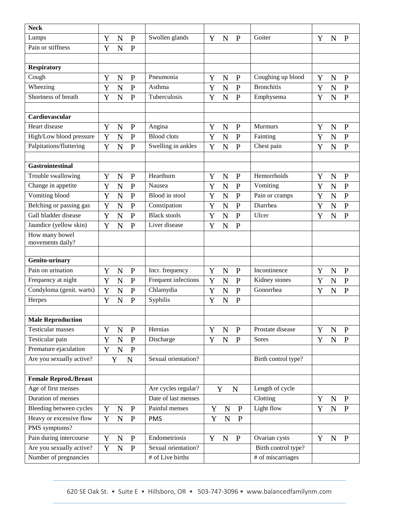| <b>Neck</b>                  |             |                |              |                     |             |             |              |                     |   |             |              |
|------------------------------|-------------|----------------|--------------|---------------------|-------------|-------------|--------------|---------------------|---|-------------|--------------|
| Lumps                        | Y           | $\mathbf N$    | $\mathbf{P}$ | Swollen glands      | Y           | $\mathbf N$ | $\mathbf{P}$ | Goiter              | Y | N           | $\mathbf{P}$ |
| Pain or stiffness            | Y           | N              | ${\bf P}$    |                     |             |             |              |                     |   |             |              |
|                              |             |                |              |                     |             |             |              |                     |   |             |              |
| <b>Respiratory</b>           |             |                |              |                     |             |             |              |                     |   |             |              |
| Cough                        | Y           | $\mathbf N$    | ${\bf P}$    | Pneumonia           | Y           | $\mathbf N$ | $\mathbf P$  | Coughing up blood   | Y | $\mathbf N$ | ${\bf P}$    |
| Wheezing                     | Y           | $\mathbf N$    | ${\bf P}$    | Asthma              | Y           | $\mathbf N$ | $\mathbf{P}$ | <b>Bronchitis</b>   | Y | $\mathbf N$ | ${\bf P}$    |
| Shortness of breath          | Y           | N              | $\mathbf{P}$ | Tuberculosis        | Y           | $\mathbf N$ | $\mathbf{P}$ | Emphysema           | Y | N           | $\mathbf{P}$ |
|                              |             |                |              |                     |             |             |              |                     |   |             |              |
| Cardiovascular               |             |                |              |                     |             |             |              |                     |   |             |              |
| Heart disease                | Y           | N              | $\mathbf{P}$ | Angina              | Y           | N           | P            | <b>Murmurs</b>      | Y | $\mathbf N$ | $\mathbf{P}$ |
| High/Low blood pressure      | Y           | $\mathbf N$    | ${\bf P}$    | <b>Blood</b> clots  | Y           | $\mathbf N$ | $\mathbf{P}$ | Fainting            | Y | $\mathbf N$ | ${\bf P}$    |
| Palpitations/fluttering      | Y           | N              | $\mathbf{P}$ | Swelling in ankles  | $\mathbf Y$ | $\mathbf N$ | $\mathbf{P}$ | Chest pain          | Y | N           | $\mathbf{P}$ |
|                              |             |                |              |                     |             |             |              |                     |   |             |              |
| <b>Gastrointestinal</b>      |             |                |              |                     |             |             |              |                     |   |             |              |
| Trouble swallowing           | Y           | $\mathbf N$    | $\mathbf{P}$ | Heartburn           | Y           | ${\bf N}$   | $\mathbf{P}$ | Hemorrhoids         | Y | ${\bf N}$   | $\mathbf{P}$ |
| Change in appetite           | Y           | $\mathbf N$    | $\mathbf{P}$ | Nausea              | Y           | $\mathbf N$ | $\mathbf{P}$ | Vomiting            | Y | $\mathbf N$ | ${\bf P}$    |
| Vomiting blood               | Y           | $\mathbf N$    | $\mathbf{P}$ | Blood in stool      | Y           | $\mathbf N$ | ${\bf P}$    | Pain or cramps      | Y | $\mathbf N$ | ${\bf P}$    |
| Belching or passing gas      | Y           | $\overline{N}$ | $\mathbf{P}$ | Constipation        | Y           | $\mathbf N$ | $\mathbf{P}$ | Diarrhea            | Y | $\mathbf N$ | ${\bf P}$    |
| Gall bladder disease         | Y           | N              | ${\bf P}$    | <b>Black stools</b> | Y           | $\mathbf N$ | $\mathbf{P}$ | Ulcer               | Y | $\mathbf N$ | ${\bf P}$    |
| Jaundice (yellow skin)       | Y           | N              | $\mathbf{P}$ | Liver disease       | Y           | N           | $\mathbf{P}$ |                     |   |             |              |
| How many bowel               |             |                |              |                     |             |             |              |                     |   |             |              |
| movements daily?             |             |                |              |                     |             |             |              |                     |   |             |              |
|                              |             |                |              |                     |             |             |              |                     |   |             |              |
| Genito-urinary               |             |                |              |                     |             |             |              |                     |   |             |              |
| Pain on urination            | Y           | $\mathbf N$    | $\mathbf{P}$ | Incr. frequency     | Y           | $\mathbf N$ | $\mathbf{P}$ | Incontinence        | Y | $\mathbf N$ | $\mathbf{P}$ |
| Frequency at night           | Y           | $\mathbf N$    | ${\bf P}$    | Frequent infections | Y           | $\mathbf N$ | $\mathbf P$  | Kidney stones       | Y | ${\bf N}$   | ${\bf P}$    |
| Condyloma (genit. warts)     | Y           | $\mathbf N$    | ${\bf P}$    | Chlamydia           | Y           | $\mathbf N$ | ${\bf P}$    | Gonorrhea           | Y | $\mathbf N$ | $\mathbf{P}$ |
| Herpes                       | Y           | N              | $\mathbf{P}$ | Syphilis            | Y           | $\mathbf N$ | $\mathbf{P}$ |                     |   |             |              |
|                              |             |                |              |                     |             |             |              |                     |   |             |              |
| <b>Male Reproduction</b>     |             |                |              |                     |             |             |              |                     |   |             |              |
| <b>Testicular masses</b>     | Y           | $\mathbf N$    | $\mathbf{P}$ | Hernias             | Y           | ${\bf N}$   | $\mathbf{P}$ | Prostate disease    | Y | ${\bf N}$   | $\mathbf{P}$ |
| Testicular pain              | Y           | ${\bf N}$      | ${\bf P}$    | Discharge           | Y           | ${\bf N}$   | $\mathbf{P}$ | Sores               | Y | ${\bf N}$   | $\mathbf{P}$ |
| Premature ejaculation        | $\mathbf Y$ | $\overline{N}$ | $\mathbf{P}$ |                     |             |             |              |                     |   |             |              |
| Are you sexually active?     |             | Y              | ${\bf N}$    | Sexual orientation? |             |             |              | Birth control type? |   |             |              |
|                              |             |                |              |                     |             |             |              |                     |   |             |              |
| <b>Female Reprod./Breast</b> |             |                |              |                     |             |             |              |                     |   |             |              |
| Age of first menses          |             |                |              | Are cycles regular? |             | Y           | $\mathbf N$  | Length of cycle     |   |             |              |
| Duration of menses           |             |                |              | Date of last menses |             |             |              | Clotting            | Y | ${\bf N}$   | $\mathbf{P}$ |
| Bleeding between cycles      | Y           | $\mathbf N$    | ${\bf P}$    | Painful menses      | Y           | ${\bf N}$   | $\mathbf{P}$ | Light flow          | Y | $\mathbf N$ | ${\bf P}$    |
| Heavy or excessive flow      | Y           | ${\bf N}$      | $\mathbf{P}$ | <b>PMS</b>          | Y           | ${\bf N}$   | $\mathbf{P}$ |                     |   |             |              |
| PMS symptoms?                |             |                |              |                     |             |             |              |                     |   |             |              |
| Pain during intercourse      | Y           | $\mathbf N$    | ${\bf P}$    | Endometriosis       | Y           | ${\bf N}$   | $\mathbf{P}$ | Ovarian cysts       | Y | ${\bf N}$   | $\mathbf{P}$ |
| Are you sexually active?     | Y           | ${\bf N}$      | ${\bf P}$    | Sexual orientation? |             |             |              | Birth control type? |   |             |              |
| Number of pregnancies        |             |                |              | # of Live births    |             |             |              | # of miscarriages   |   |             |              |